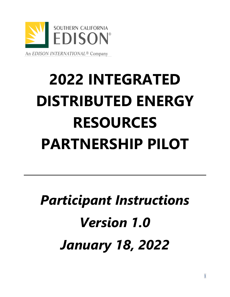

# **2022 INTEGRATED DISTRIBUTED ENERGY RESOURCES PARTNERSHIP PILOT**

# *Participant Instructions Version 1.0 January 18, 2022*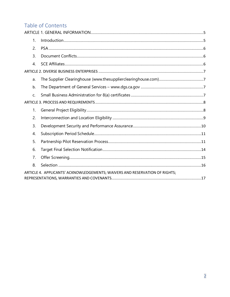# Table of Contents

| 1.               |                                                                             |  |
|------------------|-----------------------------------------------------------------------------|--|
| 2.               |                                                                             |  |
| 3.               |                                                                             |  |
| $\overline{4}$ . |                                                                             |  |
|                  |                                                                             |  |
| a.               |                                                                             |  |
| b.               |                                                                             |  |
| C.               |                                                                             |  |
|                  |                                                                             |  |
| 1.               |                                                                             |  |
| 2.               |                                                                             |  |
| 3.               |                                                                             |  |
| 4.               |                                                                             |  |
| 5.               |                                                                             |  |
| 6.               |                                                                             |  |
| 7.               |                                                                             |  |
| 8.               |                                                                             |  |
|                  | ARTICLE 4. APPLICANTS' ACKNOWLEDGEMENTS; WAIVERS AND RESERVATION OF RIGHTS; |  |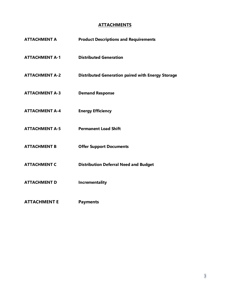#### **ATTACHMENTS**

| <b>ATTACHMENT A</b>   | <b>Product Descriptions and Requirements</b>             |
|-----------------------|----------------------------------------------------------|
| <b>ATTACHMENT A-1</b> | <b>Distributed Generation</b>                            |
| <b>ATTACHMENT A-2</b> | <b>Distributed Generation paired with Energy Storage</b> |
| <b>ATTACHMENT A-3</b> | <b>Demand Response</b>                                   |
| <b>ATTACHMENT A-4</b> | <b>Energy Efficiency</b>                                 |
| <b>ATTACHMENT A-5</b> | <b>Permanent Load Shift</b>                              |
| <b>ATTACHMENT B</b>   | <b>Offer Support Documents</b>                           |
| <b>ATTACHMENT C</b>   | <b>Distribution Deferral Need and Budget</b>             |
| <b>ATTACHMENT D</b>   | <b>Incrementality</b>                                    |
| <b>ATTACHMENT E</b>   | <b>Payments</b>                                          |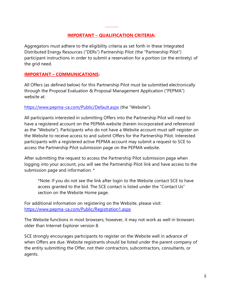## **IMPORTANT – QUALIFICATION CRITERIA:**

Aggregators must adhere to the eligibility criteria as set forth in these Integrated Distributed Energy Resources ("DERs") Partnership Pilot (the "Partnership Pilot") participant instructions in order to submit a reservation for a portion (or the entirety) of the grid need.

#### **IMPORTANT – COMMUNICATIONS:**

All Offers (as defined below) for this Partnership Pilot must be submitted electronically through the Proposal Evaluation & Proposal Management Application ("PEPMA") website at:

<https://www.pepma-ca.com/Public/Default.aspx> (the "Website").

All participants interested in submitting Offers into the Partnership Pilot will need to have a registered account on the PEPMA website (herein incorporated and referenced as the "Website"). Participants who do not have a Website account must self-register on the Website to receive access to and submit Offers for the Partnership Pilot. Interested participants with a registered active PEPMA account may submit a request to SCE to access the Partnership Pilot submission page on the PEPMA website.

After submitting the request to access the Partnership Pilot submission page when logging into your account, you will see the Partnership Pilot link and have access to the submission page and information. \*

\*Note: If you do not see the link after login to the Website contact SCE to have access granted to the bid. The SCE contact is listed under the "Contact Us" section on the Website Home page.

For additional information on registering on the Website, please visit: <https://www.pepma-ca.com/Public/Registration1.aspx>

The Website functions in most browsers; however, it may not work as well in browsers older than Internet Explorer version 8.

SCE strongly encourages participants to register on the Website well in advance of when Offers are due. Website registrants should be listed under the parent company of the entity submitting the Offer, not their contractors, subcontractors, consultants, or agents.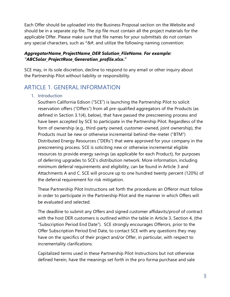Each Offer should be uploaded into the Business Proposal section on the Website and should be in a separate zip file. The zip file must contain all the project materials for the applicable Offer. Please make sure that file names for your submittals do not contain any special characters, such as  $*&#</math>, and utilize the following naming convention:$ 

#### *AggregatorName\_ProjectName\_DER Solution\_FileName. For example: "ABCSolar\_ProjectRose\_Generation\_profile.xlsx***."**

SCE may, in its sole discretion, decline to respond to any email or other inquiry about the Partnership Pilot without liability or responsibility.

# <span id="page-4-1"></span><span id="page-4-0"></span>ARTICLE 1. GENERAL INFORMATION

#### 1. Introduction

Southern California Edison ("SCE") is launching the Partnership Pilot to solicit reservation offers ("Offers") from all pre-qualified aggregators of the Products (as defined in Section 3.1(4), below), that have passed the prescreening process and have been accepted by SCE to participate in the Partnership Pilot. Regardless of the form of ownership (e.g., third-party owned, customer-owned, joint ownership), the Products must be new or otherwise incremental behind-the-meter ("BTM") Distributed Energy Resources ("DERs") that were approved for your company in the prescreening process. SCE is soliciting new or otherwise incremental eligible resources to provide energy savings (as applicable for each Product), for purposes of deferring upgrades to SCE's distribution network. More information, including minimum deferral requirements and eligibility, can be found in Article 3 and Attachments A and C. SCE will procure up to one hundred twenty percent (120%) of the deferral requirement for risk mitigation.

These Partnership Pilot Instructions set forth the procedures an Offeror must follow in order to participate in the Partnership Pilot and the manner in which Offers will be evaluated and selected.

The deadline to submit any Offers and signed customer affidavits/proof of contract with the host DER customers is outlined within the table in Article 3, Section 4, (the "Subscription Period End Date"). SCE strongly encourages Offerors, prior to the Offer Subscription Period End Date, to contact SCE with any questions they may have on the specifics of their project and/or Offer, in particular, with respect to incrementality clarifications.

Capitalized terms used in these Partnership Pilot Instructions but not otherwise defined herein, have the meanings set forth in the pro forma purchase and sale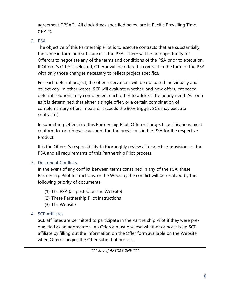agreement ("PSA"). All clock times specified below are in Pacific Prevailing Time ("PPT").

## <span id="page-5-0"></span>2. PSA

The objective of this Partnership Pilot is to execute contracts that are substantially the same in form and substance as the PSA. There will be no opportunity for Offerors to negotiate any of the terms and conditions of the PSA prior to execution. If Offeror's Offer is selected, Offeror will be offered a contract in the form of the PSA with only those changes necessary to reflect project specifics.

For each deferral project, the offer reservations will be evaluated individually and collectively. In other words, SCE will evaluate whether, and how offers, proposed deferral solutions may complement each other to address the hourly need. As soon as it is determined that either a single offer, or a certain combination of complementary offers, meets or exceeds the 90% trigger, SCE may execute contract(s).

In submitting Offers into this Partnership Pilot, Offerors' project specifications must conform to, or otherwise account for, the provisions in the PSA for the respective Product.

It is the Offeror's responsibility to thoroughly review all respective provisions of the PSA and all requirements of this Partnership Pilot process.

## <span id="page-5-1"></span>3. Document Conflicts

In the event of any conflict between terms contained in any of the PSA, these Partnership Pilot Instructions, or the Website, the conflict will be resolved by the following priority of documents:

- (1) The PSA (as posted on the Website)
- (2) These Partnership Pilot Instructions
- (3) The Website

## <span id="page-5-2"></span>4. SCE Affiliates

SCE affiliates are permitted to participate in the Partnership Pilot if they were prequalified as an aggregator. An Offeror must disclose whether or not it is an SCE affiliate by filling out the information on the Offer form available on the Website when Offeror begins the Offer submittal process.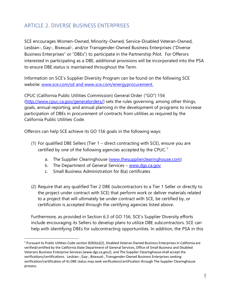# <span id="page-6-0"></span>ARTICLE 2. DIVERSE BUSINESS ENTERPRISES

SCE encourages Women-Owned, Minority-Owned, Service-Disabled Veteran-Owned, Lesbian-, Gay-, Bisexual-, and/or Transgender-Owned Business Enterprises ("Diverse Business Enterprises" or "DBEs") to participate in the Partnership Pilot. For Offerors interested in participating as a DBE, additional provisions will be incorporated into the PSA to ensure DBE status is maintained throughout the Term.

Information on SCE's Supplier Diversity Program can be found on the following SCE website: [www.sce.com/sd](http://www.sce.com/sd) and [www.sce.com/energyprocurement.](http://www.sce.com/energyprocurement)

CPUC (California Public Utilities Commission) General Order ("GO") 156 [\(http://www.cpuc.ca.gov/generalorders/\)](http://www.cpuc.ca.gov/generalorders/) sets the rules governing, among other things, goals, annual reporting, and annual planning in the development of programs to increase participation of DBEs in procurement of contracts from utilities as required by the California Public Utilities Code.

Offerors can help SCE achieve its GO 156 goals in the following ways:

- <span id="page-6-2"></span><span id="page-6-1"></span>(1) For qualified DBE Sellers (Tier 1 – direct contracting with SCE), ensure you are certified by one of the following agencies accepted by the CPUC.<sup>1</sup>
	- a. The Supplier Clearinghouse [\(www.thesupplierclearinghouse.com\)](http://www.thesupplierclearinghouse.com/)
	- b. The Department of General Services [www.dgs.ca.gov](http://www.dgs.ca.gov/)
	- c. Small Business Administration for 8(a) certificates
- <span id="page-6-3"></span>(2) Require that any qualified Tier 2 DBE (subcontractors to a Tier 1 Seller or directly to the project under contract with SCE) that perform work or deliver materials related to a project that will ultimately be under contract with SCE, be certified by, or certification is accepted through the certifying agencies listed above.

Furthermore, as provided in Section 6.3 of GO 156, SCE's Supplier Diversity efforts include encouraging its Sellers to develop plans to utilize DBE subcontractors. SCE can help with identifying DBEs for subcontracting opportunities. In addition, the PSA in this

<sup>&</sup>lt;sup>1</sup> Pursuant to Public Utilities Code section 8283(e)(2), Disabled Veteran Owned Business Enterprises in California are verified/certified by the California State Department of General Services, Office of Small Business and Disabled Veterans Business Enterprise Services (www.dgs.ca.gov/), and The Supplier Clearinghouse shall accept the verifications/certifications. Lesbian-, Gay-, Bisexual-, Transgender-Owned Business Enterprises seeking verification/certification of its DBE status may seek verification/certification through The Supplier Clearinghouse process.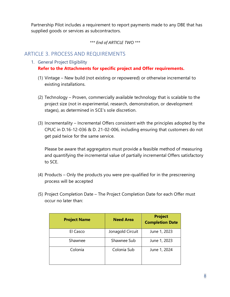Partnership Pilot includes a requirement to report payments made to any DBE that has supplied goods or services as subcontractors.

*\*\*\* End of ARTICLE TWO \*\*\**

# <span id="page-7-1"></span><span id="page-7-0"></span>ARTICLE 3. PROCESS AND REQUIREMENTS

- 1. General Project Eligibility **Refer to the Attachments for specific project and Offer requirements.**
	- (1) Vintage New build (not existing or repowered) or otherwise incremental to existing installations.
	- (2) Technology Proven, commercially available technology that is scalable to the project size (not in experimental, research, demonstration, or development stages), as determined in SCE's sole discretion.
	- (3) Incrementality Incremental Offers consistent with the principles adopted by the CPUC in D.16-12-036 & D. 21-02-006, including ensuring that customers do not get paid twice for the same service.

Please be aware that aggregators must provide a feasible method of measuring and quantifying the incremental value of partially incremental Offers satisfactory to SCE.

- (4) Products Only the products you were pre-qualified for in the prescreening process will be accepted
- (5) Project Completion Date The Project Completion Date for each Offer must occur no later than:

| <b>Project Name</b> | <b>Need Area</b> | <b>Project</b><br><b>Completion Date</b> |
|---------------------|------------------|------------------------------------------|
| El Casco            | Jonagold Circuit | June 1, 2023                             |
| Shawnee             | Shawnee Sub      | June 1, 2023                             |
| Colonia             | Colonia Sub      | June 1, 2024                             |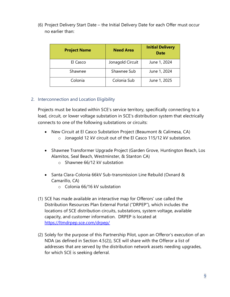(6) Project Delivery Start Date – the Initial Delivery Date for each Offer must occur no earlier than:

| <b>Project Name</b> | <b>Need Area</b> | <b>Initial Delivery</b><br><b>Date</b> |
|---------------------|------------------|----------------------------------------|
| El Casco            | Jonagold Circuit | June 1, 2024                           |
| Shawnee             | Shawnee Sub      | June 1, 2024                           |
| Colonia             | Colonia Sub      | June 1, 2025                           |

#### <span id="page-8-0"></span>2. Interconnection and Location Eligibility

Projects must be located within SCE's service territory, specifically connecting to a load, circuit, or lower voltage substation in SCE's distribution system that electrically connects to one of the following substations or circuits:

- New Circuit at El Casco Substation Project (Beaumont & Calimesa, CA) o Jonagold 12 kV circuit out of the El Casco 115/12 kV substation.
- Shawnee Transformer Upgrade Project (Garden Grove, Huntington Beach, Los Alamitos, Seal Beach, Westminster, & Stanton CA)
	- o Shawnee 66/12 kV substation
- Santa Clara-Colonia 66kV Sub-transmission Line Rebuild (Oxnard & Camarillo, CA)
	- o Colonia 66/16 kV substation
- (1) SCE has made available an interactive map for Offerors' use called the Distribution Resources Plan External Portal ("DRPEP"), which includes the locations of SCE distribution circuits, substations, system voltage, available capacity, and customer information. DRPEP is located at <https://ltmdrpep.sce.com/drpep/>
- (2) Solely for the purpose of this Partnership Pilot, upon an Offeror's execution of an NDA (as defined in Section 4.5(2)), SCE will share with the Offeror a list of addresses that are served by the distribution network assets needing upgrades, for which SCE is seeking deferral.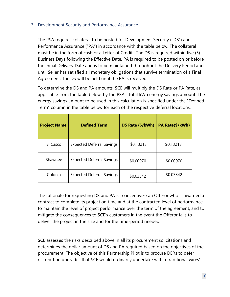#### <span id="page-9-0"></span>3. Development Security and Performance Assurance

The PSA requires collateral to be posted for Development Security ("DS") and Performance Assurance ("PA") in accordance with the table below. The collateral must be in the form of cash or a Letter of Credit. The DS is required within five (5) Business Days following the Effective Date. PA is required to be posted on or before the Initial Delivery Date and is to be maintained throughout the Delivery Period and until Seller has satisfied all monetary obligations that survive termination of a Final Agreement. The DS will be held until the PA is received.

To determine the DS and PA amounts, SCE will multiply the DS Rate or PA Rate, as applicable from the table below, by the PSA's total kWh energy savings amount. The energy savings amount to be used in this calculation is specified under the "Defined Term" column in the table below for each of the respective deferral locations.

| <b>Project Name</b> | <b>Defined Term</b>              | DS Rate (\$/kWh) | PA Rate(\$/kWh) |
|---------------------|----------------------------------|------------------|-----------------|
| El Casco            | <b>Expected Deferral Savings</b> | \$0.13213        | \$0.13213       |
| Shawnee             | <b>Expected Deferral Savings</b> | \$0.00970        | \$0.00970       |
| Colonia             | <b>Expected Deferral Savings</b> | \$0.03342        | \$0.03342       |

The rationale for requesting DS and PA is to incentivize an Offeror who is awarded a contract to complete its project on time and at the contracted level of performance, to maintain the level of project performance over the term of the agreement, and to mitigate the consequences to SCE's customers in the event the Offeror fails to deliver the project in the size and for the time-period needed.

SCE assesses the risks described above in all its procurement solicitations and determines the dollar amount of DS and PA required based on the objectives of the procurement. The objective of this Partnership Pilot is to procure DERs to defer distribution upgrades that SCE would ordinarily undertake with a traditional wires'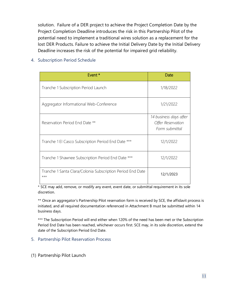solution. Failure of a DER project to achieve the Project Completion Date by the Project Completion Deadline introduces the risk in this Partnership Pilot of the potential need to implement a traditional wires solution as a replacement for the lost DER Products. Failure to achieve the Initial Delivery Date by the Initial Delivery Deadline increases the risk of the potential for impaired grid reliability.

| Event *                                                             | Date                                                          |
|---------------------------------------------------------------------|---------------------------------------------------------------|
|                                                                     |                                                               |
| Tranche 1 Subscription Period Launch                                | 1/18/2022                                                     |
| Aggregator Informational Web-Conference                             | 1/21/2022                                                     |
| Reservation Period End Date **                                      | 14 business days after<br>Offer Reservation<br>Form submittal |
| Tranche 1 El Casco Subscription Period End Date ***                 | 12/1/2022                                                     |
| Tranche 1 Shawnee Subscription Period End Date ***                  | 12/1/2022                                                     |
| Tranche 1 Santa Clara/Colonia Subscription Period End Date<br>$***$ | 12/1/2023                                                     |

#### <span id="page-10-0"></span>4. Subscription Period Schedule

\* SCE may add, remove, or modify any event, event date, or submittal requirement in its sole discretion.

\*\* Once an aggregator's Partnership Pilot reservation form is received by SCE, the affidavit process is initiated, and all required documentation referenced in Attachment B must be submitted within 14 business days.

\*\*\* The Subscription Period will end either when 120% of the need has been met or the Subscription Period End Date has been reached, whichever occurs first. SCE may, in its sole discretion, extend the date of the Subscription Period End Date.

- <span id="page-10-1"></span>5. Partnership Pilot Reservation Process
- (1) Partnership Pilot Launch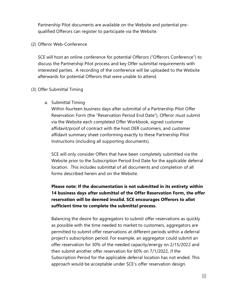Partnership Pilot documents are available on the Website and potential prequalified Offerors can register to participate via the Website.

(2) Offeror Web-Conference

SCE will host an online conference for potential Offerors ("Offerors Conference") to discuss the Partnership Pilot process and key Offer submittal requirements with interested parties. A recording of the conference will be uploaded to the Website afterwards for potential Offerors that were unable to attend.

#### (3) Offer Submittal Timing

a. Submittal Timing

Within fourteen business days after submittal of a Partnership Pilot Offer Reservation Form (the "Reservation Period End Date"), Offeror must submit via the Website each completed Offer Workbook, signed customer affidavit/proof of contract with the host DER customers, and customer affidavit summary sheet conforming exactly to these Partnership Pilot Instructions (including all supporting documents).

SCE will only consider Offers that have been completely submitted via the Website prior to the Subscription Period End Date for the applicable deferral location. This includes submittal of all documents and completion of all forms described herein and on the Website.

# **Please note: If the documentation is not submitted in its entirety within 14 business days after submittal of the Offer Reservation Form, the offer reservation will be deemed invalid. SCE encourages Offerors to allot sufficient time to complete the submittal process.**

Balancing the desire for aggregators to submit offer reservations as quickly as possible with the time needed to market to customers, aggregators are permitted to submit offer reservations at different periods within a deferral project's subscription period. For example, an aggregator could submit an offer reservation for 30% of the needed capacity/energy on 2/15/2022 and then submit another offer reservation for 60% on 7/1/2022, if the Subscription Period for the applicable deferral location has not ended. This approach would be acceptable under SCE's offer reservation design.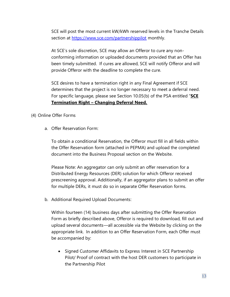SCE will post the most current kW/kWh reserved levels in the Tranche Details section at<https://www.sce.com/partnershippilot> monthly.

At SCE's sole discretion, SCE may allow an Offeror to cure any nonconforming information or uploaded documents provided that an Offer has been timely submitted. If cures are allowed, SCE will notify Offeror and will provide Offeror with the deadline to complete the cure.

SCE desires to have a termination right in any Final Agreement if SCE determines that the project is no longer necessary to meet a deferral need. For specific language, please see Section 10.05(b) of the PSA entitled "**SCE Termination Right – Changing Deferral Need.**

- (4) Online Offer Forms
	- a. Offer Reservation Form:

To obtain a conditional Reservation, the Offeror must fill in all fields within the Offer Reservation form (attached in PEPMA) and upload the completed document into the Business Proposal section on the Website.

Please Note: An aggregator can only submit an offer reservation for a Distributed Energy Resources (DER) solution for which Offeror received prescreening approval. Additionally, if an aggregator plans to submit an offer for multiple DERs, it must do so in separate Offer Reservation forms.

b. Additional Required Upload Documents:

Within fourteen (14) business days after submitting the Offer Reservation Form as briefly described above, Offeror is required to download, fill out and upload several documents—all accessible via the Website by clicking on the appropriate link. In addition to an Offer Reservation Form, each Offer must be accompanied by:

• Signed Customer Affidavits to Express Interest in SCE Partnership Pilot/ Proof of contract with the host DER customers to participate in the Partnership Pilot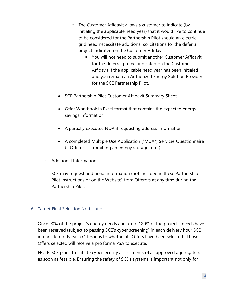- o The Customer Affidavit allows a customer to indicate (by initialing the applicable need year) that it would like to continue to be considered for the Partnership Pilot should an electric grid need necessitate additional solicitations for the deferral project indicated on the Customer Affidavit.
	- You will not need to submit another Customer Affidavit for the deferral project indicated on the Customer Affidavit if the applicable need year has been initialed and you remain an Authorized Energy Solution Provider for the SCE Partnership Pilot.
- SCE Partnership Pilot Customer Affidavit Summary Sheet
- Offer Workbook in Excel format that contains the expected energy savings information
- A partially executed NDA if requesting address information
- A completed Multiple Use Application ("MUA") Services Questionnaire (if Offeror is submitting an energy storage offer)
- c. Additional Information:

SCE may request additional information (not included in these Partnership Pilot Instructions or on the Website) from Offerors at any time during the Partnership Pilot.

#### <span id="page-13-0"></span>6. Target Final Selection Notification

Once 90% of the project's energy needs and up to 120% of the project's needs have been reserved (subject to passing SCE's cyber screening) in each delivery hour SCE intends to notify each Offeror as to whether its Offers have been selected. Those Offers selected will receive a pro forma PSA to execute.

NOTE: SCE plans to initiate cybersecurity assessments of all approved aggregators as soon as feasible. Ensuring the safety of SCE's systems is important not only for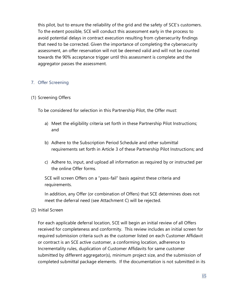this pilot, but to ensure the reliability of the grid and the safety of SCE's customers. To the extent possible, SCE will conduct this assessment early in the process to avoid potential delays in contract execution resulting from cybersecurity findings that need to be corrected. Given the importance of completing the cybersecurity assessment, an offer reservation will not be deemed valid and will not be counted towards the 90% acceptance trigger until this assessment is complete and the aggregator passes the assessment.

#### <span id="page-14-0"></span>7. Offer Screening

#### (1) Screening Offers

To be considered for selection in this Partnership Pilot, the Offer must:

- a) Meet the eligibility criteria set forth in these Partnership Pilot Instructions; and
- b) Adhere to the Subscription Period Schedule and other submittal requirements set forth in Article 3 of these Partnership Pilot Instructions; and
- c) Adhere to, input, and upload all information as required by or instructed per the online Offer forms.

SCE will screen Offers on a "pass-fail" basis against these criteria and requirements.

In addition, any Offer (or combination of Offers) that SCE determines does not meet the deferral need (see Attachment C) will be rejected.

#### (2) Initial Screen

For each applicable deferral location, SCE will begin an initial review of all Offers received for completeness and conformity. This review includes an initial screen for required submission criteria such as the customer listed on each Customer Affidavit or contract is an SCE active customer, a conforming location, adherence to Incrementality rules, duplication of Customer Affidavits for same customer submitted by different aggregator(s), minimum project size, and the submission of completed submittal package elements. If the documentation is not submitted in its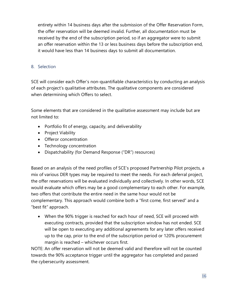entirety within 14 business days after the submission of the Offer Reservation Form, the offer reservation will be deemed invalid. Further, all documentation must be received by the end of the subscription period, so if an aggregator were to submit an offer reservation within the 13 or less business days before the subscription end, it would have less than 14 business days to submit all documentation.

#### <span id="page-15-0"></span>8. Selection

SCE will consider each Offer's non-quantifiable characteristics by conducting an analysis of each project's qualitative attributes. The qualitative components are considered when determining which Offers to select.

Some elements that are considered in the qualitative assessment may include but are not limited to:

- Portfolio fit of energy, capacity, and deliverability
- Project Viability
- Offeror concentration
- Technology concentration
- Dispatchability (for Demand Response ("DR") resources)

Based on an analysis of the need profiles of SCE's proposed Partnership Pilot projects, a mix of various DER types may be required to meet the needs. For each deferral project, the offer reservations will be evaluated individually and collectively. In other words, SCE would evaluate which offers may be a good complementary to each other. For example, two offers that contribute the entire need in the same hour would not be complementary. This approach would combine both a "first come, first served" and a "best fit" approach.

• When the 90% trigger is reached for each hour of need, SCE will proceed with executing contracts, provided that the subscription window has not ended. SCE will be open to executing any additional agreements for any later offers received up to the cap, prior to the end of the subscription period or 120% procurement margin is reached – whichever occurs first.

NOTE: An offer reservation will not be deemed valid and therefore will not be counted towards the 90% acceptance trigger until the aggregator has completed and passed the cybersecurity assessment.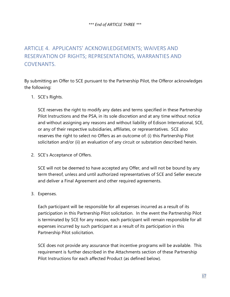#### *\*\*\* End of ARTICLE THREE \*\*\**

# <span id="page-16-0"></span>ARTICLE 4. APPLICANTS' ACKNOWLEDGEMENTS; WAIVERS AND RESERVATION OF RIGHTS; REPRESENTATIONS, WARRANTIES AND COVENANTS.

By submitting an Offer to SCE pursuant to the Partnership Pilot, the Offeror acknowledges the following:

1. SCE's Rights.

SCE reserves the right to modify any dates and terms specified in these Partnership Pilot Instructions and the PSA, in its sole discretion and at any time without notice and without assigning any reasons and without liability of Edison International, SCE, or any of their respective subsidiaries, affiliates, or representatives. SCE also reserves the right to select no Offers as an outcome of: (i) this Partnership Pilot solicitation and/or (ii) an evaluation of any circuit or substation described herein.

2. SCE's Acceptance of Offers.

SCE will not be deemed to have accepted any Offer, and will not be bound by any term thereof, unless and until authorized representatives of SCE and Seller execute and deliver a Final Agreement and other required agreements.

3. Expenses.

Each participant will be responsible for all expenses incurred as a result of its participation in this Partnership Pilot solicitation. In the event the Partnership Pilot is terminated by SCE for any reason, each participant will remain responsible for all expenses incurred by such participant as a result of its participation in this Partnership Pilot solicitation.

SCE does not provide any assurance that incentive programs will be available. This requirement is further described in the Attachments section of these Partnership Pilot Instructions for each affected Product (as defined below).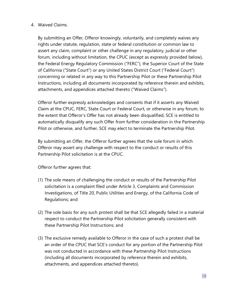#### 4. Waived Claims.

By submitting an Offer, Offeror knowingly, voluntarily, and completely waives any rights under statute, regulation, state or federal constitution or common law to assert any claim, complaint or other challenge in any regulatory, judicial or other forum, including without limitation, the CPUC (except as expressly provided below), the Federal Energy Regulatory Commission ("FERC"), the Superior Court of the State of California ("State Court") or any United States District Court ("Federal Court") concerning or related in any way to this Partnership Pilot or these Partnership Pilot Instructions, including all documents incorporated by reference therein and exhibits, attachments, and appendices attached thereto ("Waived Claims").

Offeror further expressly acknowledges and consents that if it asserts any Waived Claim at the CPUC, FERC, State Court or Federal Court, or otherwise in any forum, to the extent that Offeror's Offer has not already been disqualified, SCE is entitled to automatically disqualify any such Offer from further consideration in the Partnership Pilot or otherwise, and further, SCE may elect to terminate the Partnership Pilot.

By submitting an Offer, the Offeror further agrees that the sole forum in which Offeror may assert any challenge with respect to the conduct or results of this Partnership Pilot solicitation is at the CPUC.

Offeror further agrees that:

- (1) The sole means of challenging the conduct or results of the Partnership Pilot solicitation is a complaint filed under Article 3, Complaints and Commission Investigations, of Title 20, Public Utilities and Energy, of the California Code of Regulations; and
- (2) The sole basis for any such protest shall be that SCE allegedly failed in a material respect to conduct the Partnership Pilot solicitation generally consistent with these Partnership Pilot Instructions; and
- (3) The exclusive remedy available to Offeror in the case of such a protest shall be an order of the CPUC that SCE's conduct for any portion of the Partnership Pilot was not conducted in accordance with these Partnership Pilot Instructions (including all documents incorporated by reference therein and exhibits, attachments, and appendices attached thereto).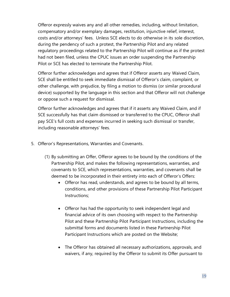Offeror expressly waives any and all other remedies, including, without limitation, compensatory and/or exemplary damages, restitution, injunctive relief, interest, costs and/or attorneys' fees. Unless SCE elects to do otherwise in its sole discretion, during the pendency of such a protest, the Partnership Pilot and any related regulatory proceedings related to the Partnership Pilot will continue as if the protest had not been filed, unless the CPUC issues an order suspending the Partnership Pilot or SCE has elected to terminate the Partnership Pilot.

Offeror further acknowledges and agrees that if Offeror asserts any Waived Claim, SCE shall be entitled to seek immediate dismissal of Offeror's claim, complaint, or other challenge, with prejudice, by filing a motion to dismiss (or similar procedural device) supported by the language in this section and that Offeror will not challenge or oppose such a request for dismissal.

Offeror further acknowledges and agrees that if it asserts any Waived Claim, and if SCE successfully has that claim dismissed or transferred to the CPUC, Offeror shall pay SCE's full costs and expenses incurred in seeking such dismissal or transfer, including reasonable attorneys' fees.

- 5. Offeror's Representations, Warranties and Covenants.
	- (1) By submitting an Offer, Offeror agrees to be bound by the conditions of the Partnership Pilot, and makes the following representations, warranties, and covenants to SCE, which representations, warranties, and covenants shall be deemed to be incorporated in their entirety into each of Offeror's Offers:
		- Offeror has read, understands, and agrees to be bound by all terms, conditions, and other provisions of these Partnership Pilot Participant Instructions;
		- Offeror has had the opportunity to seek independent legal and financial advice of its own choosing with respect to the Partnership Pilot and these Partnership Pilot Participant Instructions, including the submittal forms and documents listed in these Partnership Pilot Participant Instructions which are posted on the Website;
		- The Offeror has obtained all necessary authorizations, approvals, and waivers, if any, required by the Offeror to submit its Offer pursuant to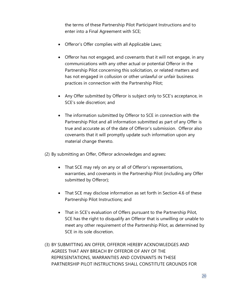the terms of these Partnership Pilot Participant Instructions and to enter into a Final Agreement with SCE;

- Offeror's Offer complies with all Applicable Laws;
- Offeror has not engaged, and covenants that it will not engage, in any communications with any other actual or potential Offeror in the Partnership Pilot concerning this solicitation, or related matters and has not engaged in collusion or other unlawful or unfair business practices in connection with the Partnership Pilot;
- Any Offer submitted by Offeror is subject only to SCE's acceptance, in SCE's sole discretion; and
- The information submitted by Offeror to SCE in connection with the Partnership Pilot and all information submitted as part of any Offer is true and accurate as of the date of Offeror's submission. Offeror also covenants that it will promptly update such information upon any material change thereto.
- (2) By submitting an Offer, Offeror acknowledges and agrees:
	- That SCE may rely on any or all of Offeror's representations, warranties, and covenants in the Partnership Pilot (including any Offer submitted by Offeror);
	- That SCE may disclose information as set forth in Section 4.6 of these Partnership Pilot Instructions; and
	- That in SCE's evaluation of Offers pursuant to the Partnership Pilot, SCE has the right to disqualify an Offeror that is unwilling or unable to meet any other requirement of the Partnership Pilot, as determined by SCE in its sole discretion.
- (3) BY SUBMITTING AN OFFER, OFFEROR HEREBY ACKNOWLEDGES AND AGREES THAT ANY BREACH BY OFFEROR OF ANY OF THE REPRESENTATIONS, WARRANTIES AND COVENANTS IN THESE PARTNERSHIP PILOT INSTRUCTIONS SHALL CONSTITUTE GROUNDS FOR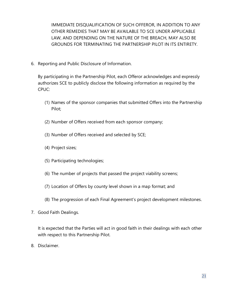IMMEDIATE DISQUALIFICATION OF SUCH OFFEROR, IN ADDITION TO ANY OTHER REMEDIES THAT MAY BE AVAILABLE TO SCE UNDER APPLICABLE LAW, AND DEPENDING ON THE NATURE OF THE BREACH, MAY ALSO BE GROUNDS FOR TERMINATING THE PARTNERSHIP PILOT IN ITS ENTIRETY.

6. Reporting and Public Disclosure of Information.

By participating in the Partnership Pilot, each Offeror acknowledges and expressly authorizes SCE to publicly disclose the following information as required by the CPUC:

- (1) Names of the sponsor companies that submitted Offers into the Partnership Pilot;
- (2) Number of Offers received from each sponsor company;
- (3) Number of Offers received and selected by SCE;
- (4) Project sizes;
- (5) Participating technologies;
- (6) The number of projects that passed the project viability screens;
- (7) Location of Offers by county level shown in a map format; and
- (8) The progression of each Final Agreement's project development milestones.
- 7. Good Faith Dealings.

It is expected that the Parties will act in good faith in their dealings with each other with respect to this Partnership Pilot.

8. Disclaimer.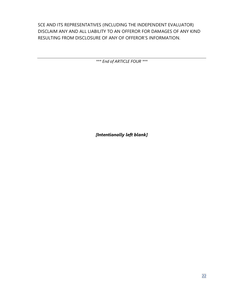SCE AND ITS REPRESENTATIVES (INCLUDING THE INDEPENDENT EVALUATOR) DISCLAIM ANY AND ALL LIABILITY TO AN OFFEROR FOR DAMAGES OF ANY KIND RESULTING FROM DISCLOSURE OF ANY OF OFFEROR'S INFORMATION.

*\*\*\* End of ARTICLE FOUR \*\*\**

*[Intentionally left blank]*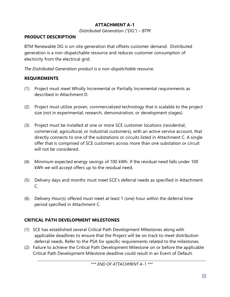# **ATTACHMENT A-1**

*Distributed Generation ("DG") – BTM*

## **PRODUCT DESCRIPTION**

BTM Renewable DG is on-site generation that offsets customer demand. Distributed generation is a non-dispatchable resource and reduces customer consumption of electricity from the electrical grid.

*The Distributed Generation product is a non-dispatchable resource.*

# **REQUIREMENTS**

- (1) Project must meet Wholly Incremental or Partially Incremental requirements as described in Attachment D.
- (2) Project must utilize proven, commercialized technology that is scalable to the project size (not in experimental, research, demonstration, or development stages).
- (3) Project must be installed at one or more SCE customer locations (residential, commercial, agricultural, or industrial customers), with an active service account, that directly connects to one of the substations or circuits listed in Attachment C. A single offer that is comprised of SCE customers across more than one substation or circuit will not be considered.
- (4) Minimum expected energy savings of 100 kWh. If the residual need falls under 100 kWh we will accept offers up to the residual need.
- (5) Delivery days and months must meet SCE's deferral needs as specified in Attachment C.
- (6) Delivery Hour(s) offered must meet at least 1 (one) hour within the deferral time period specified in Attachment C.

# **CRITICAL PATH DEVELOPMENT MILESTONES**

- (1) SCE has established several Critical Path Development Milestones along with applicable deadlines to ensure that the Project will be on track to meet distribution deferral needs. Refer to the PSA for specific requirements related to the milestones.
- (2) Failure to achieve the Critical Path Development Milestone on or before the applicable Critical Path Development Milestone deadline could result in an Event of Default.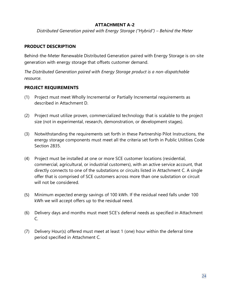### **ATTACHMENT A-2**

*Distributed Generation paired with Energy Storage ("Hybrid") – Behind the Meter*

#### **PRODUCT DESCRIPTION**

Behind-the-Meter Renewable Distributed Generation paired with Energy Storage is on-site generation with energy storage that offsets customer demand.

*The Distributed Generation paired with Energy Storage product is a non-dispatchable resource.*

#### **PROJECT REQUIREMENTS**

- (1) Project must meet Wholly Incremental or Partially Incremental requirements as described in Attachment D.
- (2) Project must utilize proven, commercialized technology that is scalable to the project size (not in experimental, research, demonstration, or development stages).
- (3) Notwithstanding the requirements set forth in these Partnership Pilot Instructions, the energy storage components must meet all the criteria set forth in Public Utilities Code Section 2835.
- (4) Project must be installed at one or more SCE customer locations (residential, commercial, agricultural, or industrial customers), with an active service account, that directly connects to one of the substations or circuits listed in Attachment C. A single offer that is comprised of SCE customers across more than one substation or circuit will not be considered.
- (5) Minimum expected energy savings of 100 kWh. If the residual need falls under 100 kWh we will accept offers up to the residual need.
- (6) Delivery days and months must meet SCE's deferral needs as specified in Attachment C.
- (7) Delivery Hour(s) offered must meet at least 1 (one) hour within the deferral time period specified in Attachment C.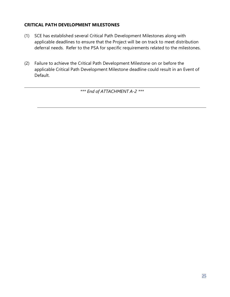## **CRITICAL PATH DEVELOPMENT MILESTONES**

- (1) SCE has established several Critical Path Development Milestones along with applicable deadlines to ensure that the Project will be on track to meet distribution deferral needs. Refer to the PSA for specific requirements related to the milestones.
- (2) Failure to achieve the Critical Path Development Milestone on or before the applicable Critical Path Development Milestone deadline could result in an Event of Default.

*\*\*\* End of ATTACHMENT A-2 \*\*\**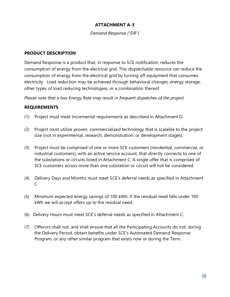## **ATTACHMENT A-3**

*Demand Response ("DR")*

#### **PRODUCT DESCRIPTION**

Demand Response is a product that, in response to SCE notification, reduces the consumption of energy from the electrical grid. This dispatchable resource can reduce the consumption of energy from the electrical grid by turning off equipment that consumes electricity. Load reduction may be achieved through behavioral changes, energy storage, other types of load reducing technologies, or a combination thereof.

*Please note that a low Energy Rate may result in frequent dispatches of the project.*

#### **REQUIREMENTS**

- (1) Project must meet Incremental requirements as described in Attachment D.
- (2) Project must utilize proven, commercialized technology that is scalable to the project size (not in experimental, research, demonstration, or development stages).
- (3) Project must be comprised of one or more SCE customers (residential, commercial, or industrial customers), with an active service account, that directly connects to one of the substations or circuits listed in Attachment C. A single offer that is comprised of SCE customers across more than one substation or circuit will not be considered.
- (4) Delivery Days and Months must meet SCE's deferral needs as specified in Attachment C.
- (5) Minimum expected energy savings of 100 kWh. If the residual need falls under 100 kWh we will accept offers up to the residual need.
- (6) Delivery Hours must meet SCE's deferral needs as specified in Attachment C.
- (7) Offerors shall not, and shall ensure that all the Participating Accounts do not, during the Delivery Period, obtain benefits under SCE's Automated Demand Response Program, or any other similar program that exists now or during the Term.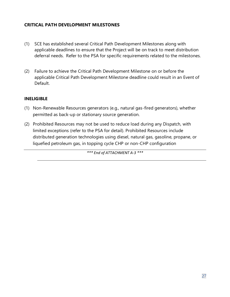### **CRITICAL PATH DEVELOPMENT MILESTONES**

- (1) SCE has established several Critical Path Development Milestones along with applicable deadlines to ensure that the Project will be on track to meet distribution deferral needs. Refer to the PSA for specific requirements related to the milestones.
- (2) Failure to achieve the Critical Path Development Milestone on or before the applicable Critical Path Development Milestone deadline could result in an Event of Default.

#### **INELIGIBLE**

- (1) Non-Renewable Resources generators (e.g., natural gas-fired generators), whether permitted as back-up or stationary source generation.
- (2) Prohibited Resources may not be used to reduce load during any Dispatch, with limited exceptions (refer to the PSA for detail). Prohibited Resources include distributed generation technologies using diesel, natural gas, gasoline, propane, or liquefied petroleum gas, in topping cycle CHP or non-CHP configuration

*\*\*\* End of ATTACHMENT A-3 \*\*\**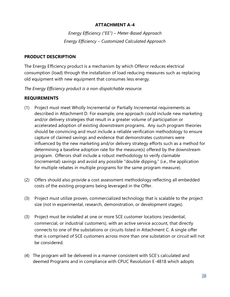### **ATTACHMENT A-4**

*Energy Efficiency ("EE") – Meter-Based Approach Energy Efficiency – Customized Calculated Approach*

#### **PRODUCT DESCRIPTION**

The Energy Efficiency product is a mechanism by which Offeror reduces electrical consumption (load) through the installation of load reducing measures such as replacing old equipment with new equipment that consumes less energy.

*The Energy Efficiency product is a non-dispatchable resource.*

## **REQUIREMENTS**

- (1) Project must meet Wholly Incremental or Partially Incremental requirements as described in Attachment D. For example, one approach could include new marketing and/or delivery strategies that result in a greater volume of participation or accelerated adoption of existing downstream programs. Any such program theories should be convincing and must include a reliable verification methodology to ensure capture of claimed savings and evidence that demonstrates customers were influenced by the new marketing and/or delivery strategy efforts such as a method for determining a baseline adoption rate for the measure(s) offered by the downstream program. Offerors shall include a robust methodology to verify claimable (incremental) savings and avoid any possible "double dipping," (i.e., the application for multiple rebates in multiple programs for the same program measure).
- (2) Offers should also provide a cost assessment methodology reflecting all embedded costs of the existing programs being leveraged in the Offer.
- (3) Project must utilize proven, commercialized technology that is scalable to the project size (not in experimental, research, demonstration, or development stages).
- (3) Project must be installed at one or more SCE customer locations (residential, commercial, or industrial customers), with an active service account, that directly connects to one of the substations or circuits listed in Attachment C. A single offer that is comprised of SCE customers across more than one substation or circuit will not be considered.
- (4) The program will be delivered in a manner consistent with SCE's calculated and deemed Programs and in compliance with CPUC Resolution E-4818 which adopts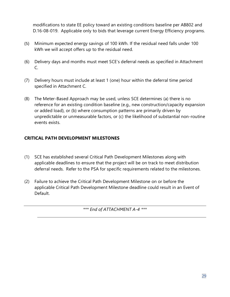modifications to state EE policy toward an existing conditions baseline per AB802 and D.16-08-019. Applicable only to bids that leverage current Energy Efficiency programs.

- (5) Minimum expected energy savings of 100 kWh. If the residual need falls under 100 kWh we will accept offers up to the residual need.
- (6) Delivery days and months must meet SCE's deferral needs as specified in Attachment C.
- (7) Delivery hours must include at least 1 (one) hour within the deferral time period specified in Attachment C.
- (8) The Meter-Based Approach may be used, unless SCE determines (a) there is no reference for an existing condition baseline (e.g., new construction/capacity expansion or added load), or (b) where consumption patterns are primarily driven by unpredictable or unmeasurable factors, or (c) the likelihood of substantial non-routine events exists.

## **CRITICAL PATH DEVELOPMENT MILESTONES**

- (1) SCE has established several Critical Path Development Milestones along with applicable deadlines to ensure that the project will be on track to meet distribution deferral needs. Refer to the PSA for specific requirements related to the milestones.
- (2) Failure to achieve the Critical Path Development Milestone on or before the applicable Critical Path Development Milestone deadline could result in an Event of Default.

*\*\*\* End of ATTACHMENT A-4 \*\*\**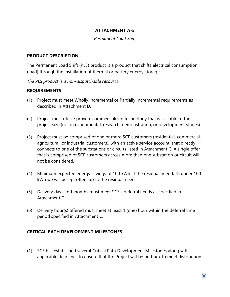#### **ATTACHMENT A-5**

#### *Permanent Load Shift*

#### **PRODUCT DESCRIPTION**

The Permanent Load Shift (PLS) product is a product that shifts electrical consumption (load) through the installation of thermal or battery energy storage.

*The PLS product is a non-dispatchable resource.*

#### **REQUIREMENTS**

- (1) Project must meet Wholly Incremental or Partially Incremental requirements as described in Attachment D.
- (2) Project must utilize proven, commercialized technology that is scalable to the project size (not in experimental, research, demonstration, or development stages).
- (3) Project must be comprised of one or more SCE customers (residential, commercial, agricultural, or industrial customers), with an active service account, that directly connects to one of the substations or circuits listed in Attachment C. A single offer that is comprised of SCE customers across more than one substation or circuit will not be considered.
- (4) Minimum expected energy savings of 100 kWh. If the residual need falls under 100 kWh we will accept offers up to the residual need.
- (5) Delivery days and months must meet SCE's deferral needs as specified in Attachment C.
- (6) Delivery hour(s) offered must meet at least 1 (one) hour within the deferral time period specified in Attachment C.

#### **CRITICAL PATH DEVELOPMENT MILESTONES**

(1) SCE has established several Critical Path Development Milestones along with applicable deadlines to ensure that the Project will be on track to meet distribution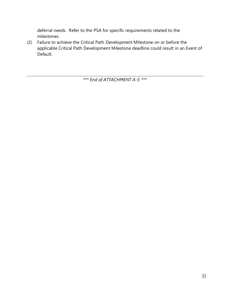deferral needs. Refer to the PSA for specific requirements related to the milestones.

(2) Failure to achieve the Critical Path Development Milestone on or before the applicable Critical Path Development Milestone deadline could result in an Event of Default.

*\*\*\* End of ATTACHMENT A-5 \*\*\**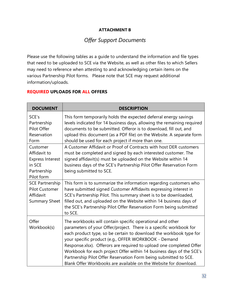#### **ATTACHMENT B**

# *Offer Support Documents*

Please use the following tables as a guide to understand the information and file types that need to be uploaded to SCE via the Website, as well as other files to which Sellers may need to reference when attesting to and acknowledging certain items on the various Partnership Pilot forms. Please note that SCE may request additional information/uploads.

#### **REQUIRED UPLOADS FOR ALL OFFERS**

| <b>DOCUMENT</b>                                                                            | <b>DESCRIPTION</b>                                                                                                                                                                                                                                                                                                                                                                                                                                                                                                                                   |
|--------------------------------------------------------------------------------------------|------------------------------------------------------------------------------------------------------------------------------------------------------------------------------------------------------------------------------------------------------------------------------------------------------------------------------------------------------------------------------------------------------------------------------------------------------------------------------------------------------------------------------------------------------|
| SCE's<br>Partnership<br>Pilot Offer<br>Reservation<br>Form                                 | This form temporarily holds the expected deferral energy savings<br>levels indicated for 14 business days, allowing the remaining required<br>documents to be submitted. Offeror is to download, fill out, and<br>upload this document (as a PDF file) on the Website. A separate form<br>should be used for each project if more than one.                                                                                                                                                                                                          |
| Customer<br>Affidavit to<br><b>Express Interest</b><br>in SCE<br>Partnership<br>Pilot form | A Customer Affidavit or Proof of Contracts with host DER customers<br>must be completed and signed by each interested customer. The<br>signed affidavit(s) must be uploaded on the Website within 14<br>business days of the SCE's Partnership Pilot Offer Reservation Form<br>being submitted to SCE.                                                                                                                                                                                                                                               |
| <b>SCE Partnership</b><br><b>Pilot Customer</b><br>Affidavit<br><b>Summary Sheet</b>       | This form is to summarize the information regarding customers who<br>have submitted signed Customer Affidavits expressing interest in<br>SCE's Partnership Pilot. This summary sheet is to be downloaded,<br>filled out, and uploaded on the Website within 14 business days of<br>the SCE's Partnership Pilot Offer Reservation Form being submitted<br>to SCE.                                                                                                                                                                                     |
| Offer<br>Workbook(s)                                                                       | The workbooks will contain specific operational and other<br>parameters of your Offer/project. There is a specific workbook for<br>each product type, so be certain to download the workbook type for<br>your specific product (e.g., OFFER WORKBOOK - Demand<br>Response.xlsx). Offerors are required to upload one completed Offer<br>Workbook for each project Offer within 14 business days of the SCE's<br>Partnership Pilot Offer Reservation Form being submitted to SCE.<br>Blank Offer Workbooks are available on the Website for download. |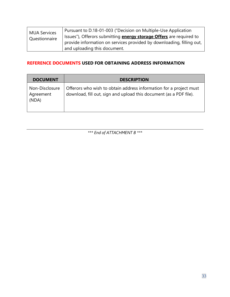| <b>MUA Services</b> | Pursuant to D.18-01-003 ("Decision on Multiple-Use Application             |
|---------------------|----------------------------------------------------------------------------|
| Questionnaire       | Issues"), Offerors submitting <b>energy storage Offers</b> are required to |
|                     | provide information on services provided by downloading, filling out,      |
|                     | and uploading this document.                                               |

## **REFERENCE DOCUMENTS USED FOR OBTAINING ADDRESS INFORMATION**

| <b>DOCUMENT</b>                      | <b>DESCRIPTION</b>                                                                                                                       |
|--------------------------------------|------------------------------------------------------------------------------------------------------------------------------------------|
| Non-Disclosure<br>Agreement<br>(NDA) | Offerors who wish to obtain address information for a project must<br>download, fill out, sign and upload this document (as a PDF file). |

*\*\*\* End of ATTACHMENT B \*\*\**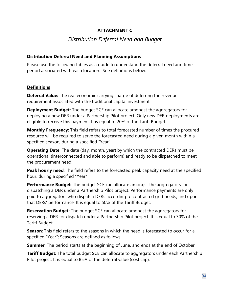### **ATTACHMENT C**

# *Distribution Deferral Need and Budget*

#### **Distribution Deferral Need and Planning Assumptions**

Please use the following tables as a guide to understand the deferral need and time period associated with each location. See definitions below.

#### **Definitions**

**Deferral Value:** The real economic carrying charge of deferring the revenue requirement associated with the traditional capital investment

**Deployment Budget:** The budget SCE can allocate amongst the aggregators for deploying a new DER under a Partnership Pilot project. Only new DER deployments are eligible to receive this payment. It is equal to 20% of the Tariff Budget.

**Monthly Frequency**: This field refers to total forecasted number of times the procured resource will be required to serve the forecasted need during a given month within a specified season, during a specified "Year"

**Operating Date**: The date (day, month, year) by which the contracted DERs must be operational (interconnected and able to perform) and ready to be dispatched to meet the procurement need.

**Peak hourly need**: The field refers to the forecasted peak capacity need at the specified hour, during a specified "Year"

**Performance Budget**: The budget SCE can allocate amongst the aggregators for dispatching a DER under a Partnership Pilot project. Performance payments are only paid to aggregators who dispatch DERs according to contracted grid needs, and upon that DERs' performance. It is equal to 50% of the Tariff Budget.

**Reservation Budget:** The budget SCE can allocate amongst the aggregators for reserving a DER for dispatch under a Partnership Pilot project. It is equal to 30% of the Tariff Budget.

**Season**: This field refers to the seasons in which the need is forecasted to occur for a specified "Year"; Seasons are defined as follows:

**Summer:** The period starts at the beginning of June, and ends at the end of October

**Tariff Budget:** The total budget SCE can allocate to aggregators under each Partnership Pilot project. It is equal to 85% of the deferral value (cost cap).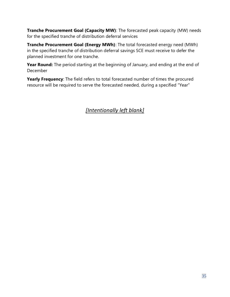**Tranche Procurement Goal (Capacity MW)**: The forecasted peak capacity (MW) needs for the specified tranche of distribution deferral services

**Tranche Procurement Goal (Energy MWh)**: The total forecasted energy need (MWh) in the specified tranche of distribution deferral savings SCE must receive to defer the planned investment for one tranche.

**Year Round:** The period starting at the beginning of January, and ending at the end of December

**Yearly Frequency**: The field refers to total forecasted number of times the procured resource will be required to serve the forecasted needed, during a specified "Year"

# *[Intentionally left blank]*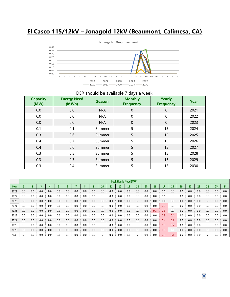# **El Casco 115/12kV – Jonagold 12kV (Beaumont, Calimesa, CA)**



#### DER should be available 7 days a week.

| <b>Capacity</b><br>(MW) | <b>Energy Need</b><br>(MWh) | <b>Season</b> | <b>Monthly</b><br><b>Frequency</b> | Yearly<br><b>Frequency</b> | Year |
|-------------------------|-----------------------------|---------------|------------------------------------|----------------------------|------|
| 0.0                     | 0.0                         | N/A           | $\theta$                           | $\overline{0}$             | 2021 |
| 0.0                     | 0.0                         | N/A           | $\mathbf 0$                        | $\mathbf 0$                | 2022 |
| 0.0                     | 0.0                         | N/A           | $\mathbf 0$                        | $\mathbf 0$                | 2023 |
| 0.1                     | 0.1                         | Summer        | 5                                  | 15                         | 2024 |
| 0.3                     | 0.6                         | Summer        | 5                                  | 15                         | 2025 |
| 0.4                     | 0.7                         | Summer        | 5                                  | 15                         | 2026 |
| 0.4                     | 0.6                         | Summer        | 5                                  | 15                         | 2027 |
| 0.3                     | 0.5                         | Summer        | 5                                  | 15                         | 2028 |
| 0.3                     | 0.3                         | Summer        | 5                                  | 15                         | 2029 |
| 0.3                     | 0.4                         | Summer        | 5                                  | 15                         | 2030 |

|      | <b>Peak Hourly Need (MW)</b> |     |     |     |     |     |     |     |     |     |     |     |     |     |     |           |     |     |     |     |     |     |     |     |
|------|------------------------------|-----|-----|-----|-----|-----|-----|-----|-----|-----|-----|-----|-----|-----|-----|-----------|-----|-----|-----|-----|-----|-----|-----|-----|
| Year |                              |     |     |     |     |     |     |     |     | 10  | ш   | 12  | 13  | 14  | 15  | <b>16</b> | 17  | 18  | 19  | 20  | 21  | 22  | 23  | 24  |
| 2021 | 0.0                          | 0.0 | 0.0 | 0.0 | 0.0 | 0.0 | 0.0 | 0.0 | 0.0 | 0.0 | 0.0 | 0.0 | 0.0 | 0.0 | 0.0 | 0.0       | 0.0 | 0.0 | 0.0 | 0.0 | 0.0 | 0.0 | 0.0 | 0.0 |
| 2022 | 0.0                          | 0.0 | 0.0 | 0.0 | 0.0 | 0.0 | 0.0 | 0.0 | 0.0 | 0.0 | 0.0 | 0.0 | 0.0 | 0.0 | 0.0 | 0.0       | 0.0 | 0.0 | 0.0 | 0.0 | 0.0 | 0.0 | 0.0 | 0.0 |
| 2023 | 0.0                          | 0.0 | 0.0 | 0.0 | 0.0 | 0.0 | 0.0 | 0.0 | 0.0 | 0.0 | 0.0 | 0.0 | 0.0 | 0.0 | 0.0 | 0.0       | 0.0 | 0.0 | 0.0 | 0.0 | 0.0 | 0.0 | 0.0 | 0.0 |
| 2024 | 0.0                          | 0.0 | 0.0 | 0.0 | 0.0 | 0.0 | 0.0 | 0.0 | 0.0 | 0.0 | 0.0 | 0.0 | 0.0 | 0.0 | 0.0 | 0.0       | 0.1 | 0.0 | 0.0 | 0.0 | 0.0 | 0.0 | 0.0 | 0.0 |
| 2025 | 0.0                          | 0.0 | 0.0 | 0.0 | 0.0 | 0.0 | 0.0 | 0.0 | 0.0 | 0.0 | 0.0 | 0.0 | 0.0 | 0.0 | 0.0 | 0.3       | 0.3 | 0.0 | 0.0 | 0.0 | 0.0 | 0.0 | 0.0 | 0.0 |
| 2026 | 0.0                          | 0.0 | 0.0 | 0.0 | 0.0 | 0.0 | 0.0 | 0.0 | 0.0 | 0.0 | 0.0 | 0.0 | 0.0 | 0.0 | 0.0 | 0.0       | 0.3 | 0.4 | 0.0 | 0.0 | 0.0 | 0.0 | 0.0 | 0.0 |
| 2027 | 0.0                          | 0.0 | 0.0 | 0.0 | 0.0 | 0.0 | 0.0 | 0.0 | 0.0 | 0.0 | 0.0 | 0.0 | 0.0 | 0.0 | 0.0 | 0.0       | 0.4 | 0.2 | 0.0 | 0.0 | 0.0 | 0.0 | 0.0 | 0.0 |
| 2028 | 0.0                          | 0.0 | 0.0 | 0.0 | 0.0 | 0.0 | 0.0 | 0.0 | 0.0 | 0.0 | 0.0 | 0.0 | 0.0 | 0.0 | 0.0 | 0.0       | 0.3 | 0.2 | 0.0 | 0.0 | 0.0 | 0.0 | 0.0 | 0.0 |
| 2029 | 0.0                          | 0.0 | 0.0 | 0.0 | 0.0 | 0.0 | 0.0 | 0.0 | 0.0 | 0.0 | 0.0 | 0.0 | 0.0 | 0.0 | 0.0 | 0.0       | 0.3 | 0.0 | 0.0 | 0.0 | 0.0 | 0.0 | 0.0 | 0.0 |
| 2030 | 0.0                          | 0.0 | 0.0 | 0.0 | 0.0 | 0.0 | 0.0 | 0.0 | 0.0 | 0.0 | 0.0 | 0.0 | 0.0 | 0.0 | 0.0 | 0.0       | 0.3 | 0.1 | 0.0 | 0.0 | 0.0 | 0.0 | 0.0 | 0.0 |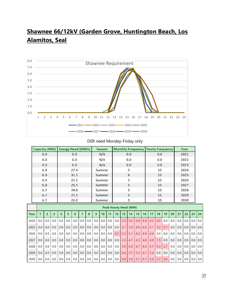# **Shawnee 66/12kV (Garden Grove, Huntington Beach, Los Alamitos, Seal**



#### DER need Monday-Friday only

|      | <b>Capacity (MW)</b> |                                                                                                                                                                                                                                                                                                                                            |                         | <b>Energy Need (MWh)</b> |   |      |                |             |                | <b>Season</b>   |     | <b>Monthly Frequency   Yearly Frequency</b>                                                                                                         |    |     |     |    |     |      |      |      | Year |      |    |    |
|------|----------------------|--------------------------------------------------------------------------------------------------------------------------------------------------------------------------------------------------------------------------------------------------------------------------------------------------------------------------------------------|-------------------------|--------------------------|---|------|----------------|-------------|----------------|-----------------|-----|-----------------------------------------------------------------------------------------------------------------------------------------------------|----|-----|-----|----|-----|------|------|------|------|------|----|----|
|      |                      | 0.0                                                                                                                                                                                                                                                                                                                                        |                         |                          |   | 0.0  |                |             |                | N/A             |     | 0.0                                                                                                                                                 |    |     |     |    |     | 0.0  |      |      | 2021 |      |    |    |
|      |                      | 0.0                                                                                                                                                                                                                                                                                                                                        |                         |                          |   | 0.0  |                |             | N/A            |                 |     |                                                                                                                                                     |    | 0.0 | 0.0 |    |     |      |      |      | 2022 |      |    |    |
|      |                      | 0.0<br>0.0                                                                                                                                                                                                                                                                                                                                 |                         |                          |   |      |                |             | N/A            |                 | 0.0 |                                                                                                                                                     |    |     |     |    | 0.0 |      |      | 2023 |      |      |    |    |
|      |                      | 6.9                                                                                                                                                                                                                                                                                                                                        | 27.4                    |                          |   |      |                |             |                | Summer          |     |                                                                                                                                                     |    | 5   |     |    |     | 15   |      |      | 2024 |      |    |    |
|      |                      | 6.9                                                                                                                                                                                                                                                                                                                                        |                         |                          |   | 31.5 |                |             |                | Summer          |     |                                                                                                                                                     |    | 6   |     |    |     | 15   |      |      |      | 2025 |    |    |
|      |                      | 6.9<br>25.5                                                                                                                                                                                                                                                                                                                                |                         |                          |   |      |                |             | Summer         |                 |     |                                                                                                                                                     | 5  |     |     |    | 15  |      |      |      | 2026 |      |    |    |
|      |                      | 6.8                                                                                                                                                                                                                                                                                                                                        |                         |                          |   | 26.5 |                |             |                | Summer          |     |                                                                                                                                                     |    | 5   |     |    |     | 15   |      |      |      | 2027 |    |    |
|      |                      | 6.7                                                                                                                                                                                                                                                                                                                                        |                         |                          |   | 34.8 |                |             |                | Summer          |     |                                                                                                                                                     |    | 5   |     |    |     | 15   |      |      |      | 2028 |    |    |
|      | 6.7<br>21.5          |                                                                                                                                                                                                                                                                                                                                            |                         |                          |   |      |                | Summer      |                |                 | 5   |                                                                                                                                                     |    |     |     | 15 |     |      | 2029 |      |      |      |    |    |
|      |                      | 6.7<br>26.0                                                                                                                                                                                                                                                                                                                                |                         |                          |   |      |                | 5<br>Summer |                |                 |     |                                                                                                                                                     |    | 15  |     |    |     | 2030 |      |      |      |      |    |    |
|      |                      |                                                                                                                                                                                                                                                                                                                                            |                         |                          |   |      |                |             |                |                 |     | <b>Peak Hourly Need (MW)</b>                                                                                                                        |    |     |     |    |     |      |      |      |      |      |    |    |
| Year | $\mathbf{1}$         |                                                                                                                                                                                                                                                                                                                                            |                         |                          |   |      |                |             |                |                 |     |                                                                                                                                                     |    |     |     |    |     |      |      |      |      |      |    |    |
|      |                      | $\overline{2}$                                                                                                                                                                                                                                                                                                                             | $\overline{\mathbf{3}}$ | $\overline{\mathbf{4}}$  | 5 | 6    | $\overline{7}$ | 8           | $\overline{9}$ | 10 <sup>1</sup> | 11  | 12 <sup>2</sup>                                                                                                                                     | 13 | 14  | 15  | 16 | 17  | 18   | 19   | 20   | 21   | 22   | 23 | 24 |
| 2024 |                      | 0.0   0.0   0.0   0.0   0.0   0.0   0.0   0.0   0.0   0.0   0.0   0.0   3.3   5.6   6.9   6.9   4.3   0.4   0.0   0.0   0.0   0.0   0.0   0.0   0.0                                                                                                                                                                                        |                         |                          |   |      |                |             |                |                 |     |                                                                                                                                                     |    |     |     |    |     |      |      |      |      |      |    |    |
| 2025 |                      | 0.0   0.0   0.0   0.0   0.0   0.0   0.0   0.0   0.0   0.0   0.0   0.0   3.1   5.9   6.9   6.6   5.1   3.2   0.7   0.0   0.0   0.0   0.0   0.0   0.0                                                                                                                                                                                        |                         |                          |   |      |                |             |                |                 |     |                                                                                                                                                     |    |     |     |    |     |      |      |      |      |      |    |    |
| 2026 | 0.0 <sub>1</sub>     | $0.0 \cdot$                                                                                                                                                                                                                                                                                                                                | $0.0 \cdot$             | $0.0 \cdot$              |   |      |                |             |                |                 |     | 0.0   0.0   0.0   0.0   0.0   0.0   0.0   0.0   0.0   0.0   0.0   0.0   0.0   0.0   0.0   0.0   0.0   0.0   0.0                                     |    |     |     |    |     |      |      |      |      |      |    |    |
| 2027 | $0.0$ i              |                                                                                                                                                                                                                                                                                                                                            |                         |                          |   |      |                |             |                |                 |     | 0.0   0.0   0.0   0.0   0.0   0.0   0.0   0.0   0.0   0.0   0.0   0.0   2.3   4.7   6.3   6.8   4.9   1.5   0.0   0.0   0.0   0.0   0.0   0.0   0.0 |    |     |     |    |     |      |      |      |      |      |    |    |
| 2028 | 0.0                  |                                                                                                                                                                                                                                                                                                                                            |                         |                          |   |      |                |             |                |                 |     | 0.0   0.0   0.0   0.0   0.0   0.0   0.0   0.0   0.0   0.0   0.0   0.0   3.0   6.0   6.7   6.4   5.7   4.3   2.7   0.0   0.0   0.0   0.0   0.0   0.0 |    |     |     |    |     |      |      |      |      |      |    |    |
| 2029 | 0.0                  | $(0.0 \n\cdot 0.0 \n\cdot 0.0 \n\cdot 0.0 \n\cdot 0.0 \n\cdot 0.0 \n\cdot 0.0 \n\cdot 0.0 \n\cdot 0.0 \n\cdot 0.0 \n\cdot 0.0 \n\cdot 0.0 \n\cdot 0.0 \n\cdot 0.1 \n\cdot 0.3 \n\cdot 1 5.3 \n\cdot 0.7 \n\cdot 1 5.4 \n\cdot 0.0 \n\cdot 0.0 \n\cdot 0.0 \n\cdot 0.0 \n\cdot 0.0 \n\cdot 0.0 \n\cdot 0.0 \n\cdot 0.0 \n\cdot 0.0 \n\cdot$ |                         |                          |   |      |                |             |                |                 |     |                                                                                                                                                     |    |     |     |    |     |      |      |      |      |      |    |    |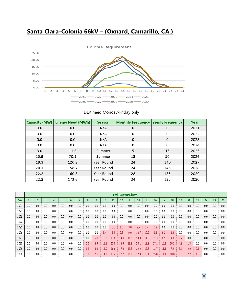

# **Santa Clara-Colonia 66kV – (Oxnard, Camarillo, CA.)**

|      | Capacity (MW) Energy Need (MWh) | <b>Season</b> | <b>Monthly Frequency   Yearly Frequency</b> |              | Year |
|------|---------------------------------|---------------|---------------------------------------------|--------------|------|
| 0.0  | 0.0                             | N/A           | $\mathbf 0$                                 | 0            | 2021 |
| 0.0  | 0.0                             | N/A           | 0                                           | 0            | 2022 |
| 0.0  | 0.0                             | N/A           | $\mathbf{0}$                                | $\mathbf{0}$ | 2023 |
| 0.0  | 0.0                             | N/A           | 0                                           | 0            | 2024 |
| 3.0  | 11.6                            | Summer        | 5                                           | 15           | 2025 |
| 10.9 | 70.9                            | Summer        | 13                                          | 50           | 2026 |
| 19.3 | 120.2                           | Year Round    | 24                                          | 140          | 2027 |
| 20.1 | 158.7                           | Year Round    | 24                                          | 145          | 2028 |
| 22.2 | 160.3                           | Year Round    | 28                                          | 185          | 2029 |
| 22.3 | 172.6                           | Year Round    | 24                                          | 135          | 2030 |

DER need Monday-Friday only

|      |     |     |     |     |     |     |     |     |     |      |      |      | <b>Peak Hourly Need (MW)</b> |      |      |      |      |      |     |     |     |     |     |     |
|------|-----|-----|-----|-----|-----|-----|-----|-----|-----|------|------|------|------------------------------|------|------|------|------|------|-----|-----|-----|-----|-----|-----|
| Year |     |     |     |     |     |     |     |     |     | 10   | 11   | 12   | 13                           | 14   | 15   | 16   | 17   | 18   | 19  | 20  | 21  | 22  | 23  | 24  |
| 2021 | 0.0 | 0.0 | 0.0 | 0.0 | 0.0 | 0.0 | 0.0 | 0.0 | 0.0 | 0.0  | 0.0  | 0.0  | 0.0                          | 0.0  | 0.0  | 0.0  | 0.0  | 0.0  | 0.0 | 0.0 | 0.0 | 0.0 | 0.0 | 0.0 |
| 2022 | 0.0 | 0.0 | 0.0 | 0.0 | 0.0 | 0.0 | 0.0 | 0.0 | 0.0 | 0.0  | 0.0  | 0.0  | 0.0                          | 0.0  | 0.0  | 0.0  | 0.0  | 0.0  | 0.0 | 0.0 | 0.0 | 0.0 | 0.0 | 0.0 |
| 2023 | 0.0 | 0.0 | 0.0 | 0.0 | 0.0 | 0.0 | 0.0 | 0.0 | 0.0 | 0.0  | 0.0  | 0.0  | 0.0                          | 0.0  | 0.0  | 0.0  | 0.0  | 0.0  | 0.0 | 0.0 | 0.0 | 0.0 | 0.0 | 0.0 |
| 2024 | 0.0 | 0.0 | 0.0 | 0.0 | 0.0 | 0.0 | 0.0 | 0.0 | 0.0 | 0.0  | 0.0  | 0.0  | 0.0                          | 0.0  | 0.0  | 0.0  | 0.0  | 0.0  | 0.0 | 0.0 | 0.0 | 0.0 | 0.0 | 0.0 |
| 2025 | 0.0 | 0.0 | 0.0 | 0.0 | 0.0 | 0.0 | 0.0 | 0.0 | 0.0 | 0.0  | 1.1  | 1.6  | 3.0                          | 2.7  | 2.4  | 0.8  | 0.0  | 0.0  | 0.0 | 0.0 | 0.0 | 0.0 | 0.0 | 0.0 |
| 2026 | 0.0 | 0.0 | 0.0 | 0.0 | 0.0 | 0.0 | 0.0 | 0.0 | 0.0 | 3.4  | 6.5  | 7.5  | 9.0                          | 10.7 | 10.9 | 9.8  | 9.2  | 3.9  | 0.0 | 0.0 | 0.0 | 0.0 | 0.0 | 0.0 |
| 2027 | 0.0 | 0.0 | 0.0 | 0.0 | 0.0 | 0.0 | 0.0 | 0.0 | 5.8 | 10.8 | 13.8 | 14.8 | 16.5                         | 19.3 | 14.9 | 11.3 | 8.5  | 4.3  | 0.2 | 0.0 | 0.0 | 0.0 | 0.0 | 0.0 |
| 2028 | 0.0 | 0.0 | 0.0 | 0.0 | 0.0 | 0.0 | 0.0 | 2.0 | 6.9 | 11.6 | 15.0 | 16.9 | 18.9                         | 20.1 | 19.3 | 17.1 | 15.1 | 10.2 | 4.3 | 1.3 | 0.0 | 0.0 | 0.0 | 0.0 |
| 2029 | 0.0 | 0.0 | 0.0 | 0.0 | 0.0 | 0.0 | 0.0 | 3.3 | 8.9 | 14.0 | 16.6 | 17.9 | 19.5                         | 22.2 | 17.8 | 13.7 | 11.1 | 7.2  | 3.1 | 2.9 | 2.1 | 0.0 | 0.0 | 0.0 |
| 2030 | 0.0 | 0.0 | 0.0 | 0.0 | 0.0 | 0.0 | 0.0 | 2.0 | 7.1 | 14.9 | 17.4 | 17.2 | 21.8                         | 22.3 | 19.4 | 15.8 | 14.4 | 10.8 | 5.5 |     | 1.3 | 0.0 | 0.0 | 0.0 |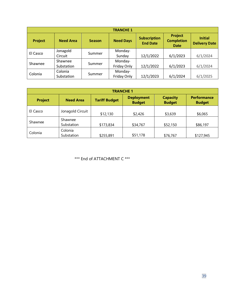|          | <b>TRANCHE 1</b> |               |                  |                                        |                                             |                                        |  |  |  |  |  |
|----------|------------------|---------------|------------------|----------------------------------------|---------------------------------------------|----------------------------------------|--|--|--|--|--|
| Project  | <b>Need Area</b> | <b>Season</b> | <b>Need Days</b> | <b>Subscription</b><br><b>End Date</b> | Project<br><b>Completion</b><br><b>Date</b> | <b>Initial</b><br><b>Delivery Date</b> |  |  |  |  |  |
| El Casco | Jonagold         | Summer        | Monday-          |                                        |                                             |                                        |  |  |  |  |  |
|          | Circuit          |               | Sunday           | 12/1/2022                              | 6/1/2023                                    | 6/1/2024                               |  |  |  |  |  |
|          | Shawnee          |               | Monday-          |                                        |                                             |                                        |  |  |  |  |  |
| Shawnee  | Substation       | Summer        | Friday Only      | 12/1/2022                              | 6/1/2023                                    | 6/1/2024                               |  |  |  |  |  |
|          | Colonia          |               | Monday-          |                                        |                                             |                                        |  |  |  |  |  |
| Colonia  | Substation       | Summer        | Friday Only      | 12/1/2023                              | 6/1/2024                                    | 6/1/2025                               |  |  |  |  |  |

| <b>TRANCHE 1</b> |                       |                      |                                    |                                  |                                     |  |  |  |  |  |
|------------------|-----------------------|----------------------|------------------------------------|----------------------------------|-------------------------------------|--|--|--|--|--|
| <b>Project</b>   | <b>Need Area</b>      | <b>Tariff Budget</b> | <b>Deployment</b><br><b>Budget</b> | <b>Capacity</b><br><b>Budget</b> | <b>Performance</b><br><b>Budget</b> |  |  |  |  |  |
| El Casco         | Jonagold Circuit      | \$12,130             | \$2,426                            | \$3,639                          | \$6,065                             |  |  |  |  |  |
| Shawnee          | Shawnee<br>Substation | \$173,834            | \$34,767                           | \$52,150                         | \$86,197                            |  |  |  |  |  |
| Colonia          | Colonia<br>Substation | \$255,891            | \$51,178                           | \$76,767                         | \$127,945                           |  |  |  |  |  |

\*\*\* End of ATTACHMENT C \*\*\*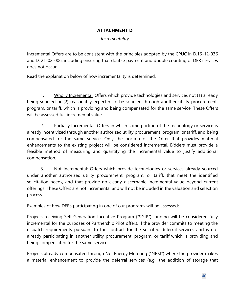#### **ATTACHMENT D**

#### *Incrementality*

Incremental Offers are to be consistent with the principles adopted by the CPUC in D.16-12-036 and D. 21-02-006, including ensuring that double payment and double counting of DER services does not occur.

Read the explanation below of how incrementality is determined.

1. Wholly Incremental: Offers which provide technologies and services not (1) already being sourced or (2) reasonably expected to be sourced through another utility procurement, program, or tariff, which is providing and being compensated for the same service. These Offers will be assessed full incremental value.

2. Partially Incremental: Offers in which some portion of the technology or service is already incentivized through another authorized utility procurement, program, or tariff, and being compensated for the same service. Only the portion of the Offer that provides material enhancements to the existing project will be considered incremental. Bidders must provide a feasible method of measuring and quantifying the incremental value to justify additional compensation.

3. Not Incremental: Offers which provide technologies or services already sourced under another authorized utility procurement, program, or tariff, that meet the identified solicitation needs, and that provide no clearly discernable incremental value beyond current offerings. These Offers are not incremental and will not be included in the valuation and selection process.

Examples of how DERs participating in one of our programs will be assessed:

Projects receiving Self Generation Incentive Program ("SGIP") funding will be considered fully incremental for the purposes of Partnership Pilot offers, if the provider commits to meeting the dispatch requirements pursuant to the contract for the solicited deferral services and is not already participating in another utility procurement, program, or tariff which is providing and being compensated for the same service.

Projects already compensated through Net Energy Metering ("NEM") where the provider makes a material enhancement to provide the deferral services (e.g., the addition of storage that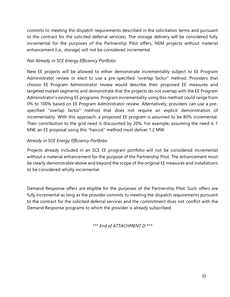commits to meeting the dispatch requirements described in the solicitation terms and pursuant to the contract for the solicited deferral services). The storage delivery will be considered fully incremental for the purposes of the Partnership Pilot offers, NEM projects without material enhancement (i.e., storage) will not be considered incremental.

#### *Not Already in SCE Energy Efficiency Portfolio:*

New EE projects will be allowed to either demonstrate incrementality subject to EE Program Administrator review or elect to use a pre-specified "overlap factor" method. Providers that choose EE Program Administrator review would describe their proposed EE measures and targeted market segments and demonstrate that the projects do not overlap with the EE Program Administrator's existing EE programs. Program incrementality using this method could range from 0% to 100% based on EE Program Administrator review. Alternatively, providers can use a prespecified "overlap factor" method that does not require an explicit demonstration of incrementality. With this approach, a proposed EE program is assumed to be 80% incremental. Their contribution to the grid need is discounted by 20%. For example, assuming the need is 1 MW, an EE proposal using this "haircut" method must deliver 1.2 MW.

## *Already in SCE Energy Efficiency Portfolio:*

Projects already included in an SCE EE program portfolio will not be considered incremental without a material enhancement for the purpose of the Partnership Pilot. The enhancement must be clearly demonstrable above and beyond the scope of the original EE measures and installations to be considered wholly incremental.

Demand Response offers are eligible for the purposes of the Partnership Pilot. Such offers are fully incremental as long as the provider commits to meeting the dispatch requirements pursuant to the contract for the solicited deferral services and the commitment does not conflict with the Demand Response programs to which the provider is already subscribed.

*\*\*\* End of ATTACHMENT D \*\*\**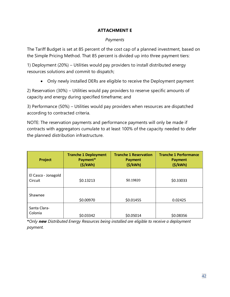#### **ATTACHMENT E**

#### *Payments*

The Tariff Budget is set at 85 percent of the cost cap of a planned investment, based on the Simple Pricing Method. That 85 percent is divided up into three payment tiers:

1) Deployment (20%) – Utilities would pay providers to install distributed energy resources solutions and commit to dispatch;

• Only newly installed DERs are eligible to receive the Deployment payment

2) Reservation (30%) – Utilities would pay providers to reserve specific amounts of capacity and energy during specified timeframe; and

3) Performance (50%) – Utilities would pay providers when resources are dispatched according to contracted criteria.

NOTE: The reservation payments and performance payments will only be made if contracts with aggregators cumulate to at least 100% of the capacity needed to defer the planned distribution infrastructure.

| Project                        | <b>Tranche 1 Deployment</b><br>Payment*<br>(S/KWh) | <b>Tranche 1 Reservation</b><br><b>Payment</b><br>(S/KWh) | <b>Tranche 1 Performance</b><br><b>Payment</b><br>(S/KWh) |
|--------------------------------|----------------------------------------------------|-----------------------------------------------------------|-----------------------------------------------------------|
| El Casco - Jonagold<br>Circuit | \$0.13213                                          | \$0.19820                                                 | \$0.33033                                                 |
| Shawnee                        | \$0.00970                                          | \$0.01455                                                 | 0.02425                                                   |
| Santa Clara-<br>Colonia        | \$0.03342                                          | \$0.05014                                                 | \$0.08356                                                 |

**\****Only new Distributed Energy Resources being installed are eligible to receive a deployment payment.*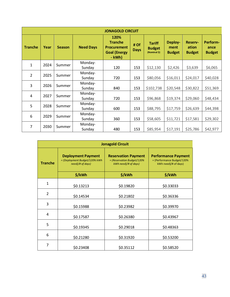|                | <b>JONAGOLD CIRCUIT</b> |               |                   |                                                                               |                     |                                                |                                  |                                          |                                   |  |
|----------------|-------------------------|---------------|-------------------|-------------------------------------------------------------------------------|---------------------|------------------------------------------------|----------------------------------|------------------------------------------|-----------------------------------|--|
| <b>Tranche</b> | Year                    | <b>Season</b> | <b>Need Days</b>  | 120%<br><b>Tranche</b><br><b>Procurement</b><br><b>Goal (Energy</b><br>- kWh) | # Of<br><b>Days</b> | <b>Tariff</b><br><b>Budget</b><br>(Nominal \$) | Deploy-<br>ment<br><b>Budget</b> | <b>Reserv-</b><br>ation<br><b>Budget</b> | Perform-<br>ance<br><b>Budget</b> |  |
| $\mathbf{1}$   | 2024                    | Summer        | Monday-<br>Sunday | 120                                                                           | 153                 | \$12,130                                       | \$2,426                          | \$3,639                                  | \$6,065                           |  |
| $\overline{2}$ | 2025                    | Summer        | Monday-<br>Sunday | 720                                                                           | 153                 | \$80,056                                       | \$16,011                         | \$24,017                                 | \$40,028                          |  |
| 3              | 2026                    | Summer        | Monday-<br>Sunday | 840                                                                           | 153                 | \$102,738                                      | \$20,548                         | \$30,822                                 | \$51,369                          |  |
| $\overline{4}$ | 2027                    | Summer        | Monday-<br>Sunday | 720                                                                           | 153                 | \$96,868                                       | \$19,374                         | \$29,060                                 | \$48,434                          |  |
| 5              | 2028                    | Summer        | Monday-<br>Sunday | 600                                                                           | 153                 | \$88,795                                       | \$17,759                         | \$26,639                                 | \$44,398                          |  |
| 6              | 2029                    | Summer        | Monday-<br>Sunday | 360                                                                           | 153                 | \$58,605                                       | \$11,721                         | \$17,581                                 | \$29,302                          |  |
| 7              | 2030                    | Summer        | Monday-<br>Sunday | 480                                                                           | 153                 | \$85,954                                       | \$17,191                         | \$25,786                                 | \$42,977                          |  |

|                | <b>Jonagold Circuit</b>                                                        |                                                                                     |                                                                                  |  |  |  |  |  |  |  |  |
|----------------|--------------------------------------------------------------------------------|-------------------------------------------------------------------------------------|----------------------------------------------------------------------------------|--|--|--|--|--|--|--|--|
| <b>Tranche</b> | <b>Deployment Payment</b><br>= (Deployment Budget/120% kWh<br>need)/# of days) | <b>Reservation Payment</b><br>$=$ (Reservation Budget/120%)<br>kWh need)/# of days) | <b>Performance Payment</b><br>= (Performance Budget/120%<br>kWh need)/# of days) |  |  |  |  |  |  |  |  |
|                | \$/kWh                                                                         | \$/kWh                                                                              | \$/kWh                                                                           |  |  |  |  |  |  |  |  |
| $\mathbf{1}$   | \$0.13213                                                                      | \$0.19820                                                                           | \$0.33033                                                                        |  |  |  |  |  |  |  |  |
| $\overline{2}$ | \$0.14534                                                                      | \$0.21802                                                                           | \$0.36336                                                                        |  |  |  |  |  |  |  |  |
| 3              | \$0.15988                                                                      | \$0.23982                                                                           | \$0.39970                                                                        |  |  |  |  |  |  |  |  |
| 4              | \$0.17587                                                                      | \$0.26380                                                                           | \$0.43967                                                                        |  |  |  |  |  |  |  |  |
| 5              | \$0.19345                                                                      | \$0.29018                                                                           | \$0.48363                                                                        |  |  |  |  |  |  |  |  |
| 6              | \$0.21280                                                                      | \$0.31920                                                                           | \$0.53200                                                                        |  |  |  |  |  |  |  |  |
| 7              | \$0.23408                                                                      | \$0.35112                                                                           | \$0.58520                                                                        |  |  |  |  |  |  |  |  |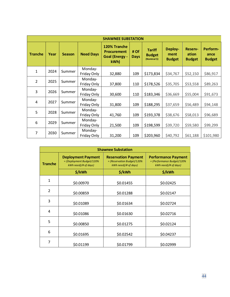|                | <b>SHAWNEE SUBSTATION</b> |               |                        |                                                                    |                     |                                                |                                  |                                          |                                   |  |
|----------------|---------------------------|---------------|------------------------|--------------------------------------------------------------------|---------------------|------------------------------------------------|----------------------------------|------------------------------------------|-----------------------------------|--|
| <b>Tranche</b> | Year                      | <b>Season</b> | <b>Need Days</b>       | 120% Tranche<br><b>Procurement</b><br><b>Goal (Energy -</b><br>kWh | # Of<br><b>Days</b> | <b>Tariff</b><br><b>Budget</b><br>(Nominal \$) | Deploy-<br>ment<br><b>Budget</b> | <b>Reserv-</b><br>ation<br><b>Budget</b> | Perform-<br>ance<br><b>Budget</b> |  |
| $\mathbf{1}$   | 2024                      | Summer        | Monday-<br>Friday Only | 32,880                                                             | 109                 | \$173,834                                      | \$34,767                         | \$52,150                                 | \$86,917                          |  |
| $\overline{2}$ | 2025                      | Summer        | Monday-<br>Friday Only | 37,800                                                             | 110                 | \$178,526                                      | \$35,705                         | \$53,558                                 | \$89,263                          |  |
| 3              | 2026                      | Summer        | Monday-<br>Friday Only | 30,600                                                             | 110                 | \$183,346                                      | \$36,669                         | \$55,004                                 | \$91,673                          |  |
| $\overline{4}$ | 2027                      | Summer        | Monday-<br>Friday Only | 31,800                                                             | 109                 | \$188,295                                      | \$37,659                         | \$56,489                                 | \$94,148                          |  |
| 5              | 2028                      | Summer        | Monday-<br>Friday Only | 41,760                                                             | 109                 | \$193,378                                      | \$38,676                         | \$58,013                                 | \$96,689                          |  |
| 6              | 2029                      | Summer        | Monday-<br>Friday Only | 21,500                                                             | 109                 | \$198,599                                      | \$39,720                         | \$59,580                                 | \$99,299                          |  |
| $\overline{7}$ | 2030                      | Summer        | Monday-<br>Friday Only | 31,200                                                             | 109                 | \$203,960                                      | \$40,792                         | \$61,188                                 | \$101,980                         |  |

|                | <b>Shawnee Substation</b>                                                      |                                                                                  |                                                                                     |  |  |  |  |  |  |  |  |
|----------------|--------------------------------------------------------------------------------|----------------------------------------------------------------------------------|-------------------------------------------------------------------------------------|--|--|--|--|--|--|--|--|
| <b>Tranche</b> | <b>Deployment Payment</b><br>= (Deployment Budget/120%<br>kWh need)/# of days) | <b>Reservation Payment</b><br>= (Reservation Budget/120%<br>kWh need)/# of days) | <b>Performance Payment</b><br>$=$ (Performance Budget/120%)<br>kWh need)/# of days) |  |  |  |  |  |  |  |  |
|                | \$/kWh                                                                         | \$/kWh                                                                           | \$/kWh                                                                              |  |  |  |  |  |  |  |  |
| $\mathbf{1}$   | \$0.00970                                                                      | \$0.01455                                                                        | \$0.02425                                                                           |  |  |  |  |  |  |  |  |
| $\overline{2}$ | \$0.00859                                                                      | \$0.01288                                                                        | \$0.02147                                                                           |  |  |  |  |  |  |  |  |
| 3              | \$0.01089                                                                      | \$0.01634                                                                        | \$0.02724                                                                           |  |  |  |  |  |  |  |  |
| 4              | \$0.01086                                                                      | \$0.01630                                                                        | \$0.02716                                                                           |  |  |  |  |  |  |  |  |
| 5              | \$0.00850                                                                      | \$0.01275                                                                        | \$0.02124                                                                           |  |  |  |  |  |  |  |  |
| 6              | \$0.01695                                                                      | \$0.02542                                                                        | \$0.04237                                                                           |  |  |  |  |  |  |  |  |
| 7              | \$0.01199                                                                      | \$0.01799                                                                        | \$0.02999                                                                           |  |  |  |  |  |  |  |  |